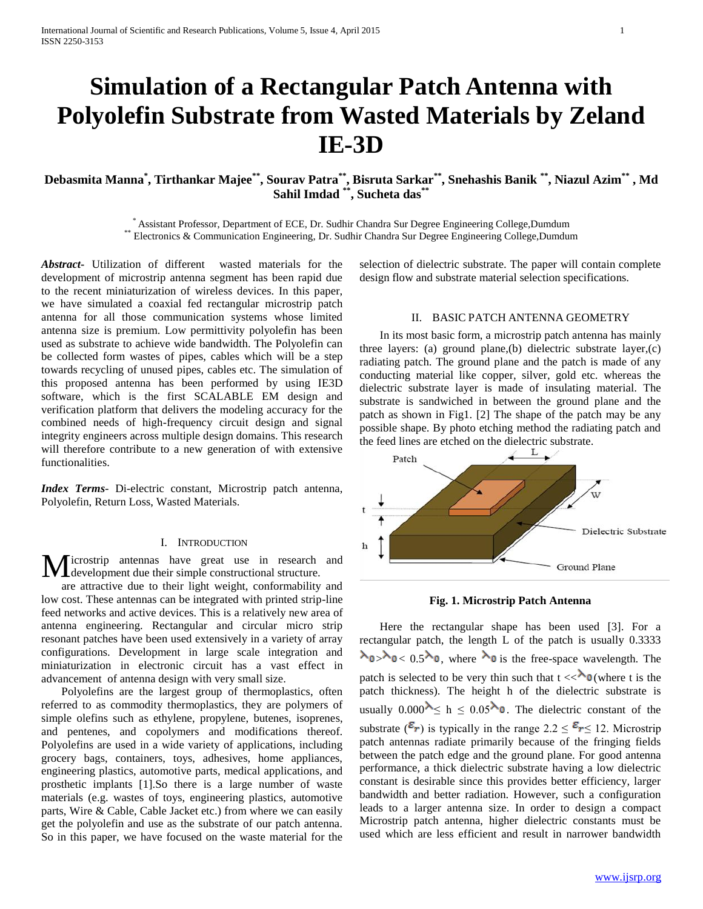# **Simulation of a Rectangular Patch Antenna with Polyolefin Substrate from Wasted Materials by Zeland IE-3D**

# Debasmita Manna , Tirthankar Majee\*\*, Sourav Patra\*\*, Bisruta Sarkar\*\*, Snehashis Banik \*\*, Niazul Azim\*\* , Md **Sahil Imdad \*\* , Sucheta das\*\***

\* Assistant Professor, Department of ECE, Dr. Sudhir Chandra Sur Degree Engineering College,Dumdum \*\* Electronics & Communication Engineering, Dr. Sudhir Chandra Sur Degree Engineering College,Dumdum

*Abstract***-** Utilization of different wasted materials for the development of microstrip antenna segment has been rapid due to the recent miniaturization of wireless devices. In this paper, we have simulated a coaxial fed rectangular microstrip patch antenna for all those communication systems whose limited antenna size is premium. Low permittivity polyolefin has been used as substrate to achieve wide bandwidth. The Polyolefin can be collected form wastes of pipes, cables which will be a step towards recycling of unused pipes, cables etc. The simulation of this proposed antenna has been performed by using IE3D software, which is the first SCALABLE EM design and verification platform that delivers the modeling accuracy for the combined needs of high-frequency circuit design and signal integrity engineers across multiple design domains. This research will therefore contribute to a new generation of with extensive functionalities.

*Index Terms*- Di-electric constant, Microstrip patch antenna, Polyolefin, Return Loss, Wasted Materials.

#### I. INTRODUCTION

icrostrip antennas have great use in research and Microstrip antennas have great use in research<br>development due their simple constructional structure.

 are attractive due to their light weight, conformability and low cost. These antennas can be integrated with printed strip-line feed networks and active devices. This is a relatively new area of antenna engineering. Rectangular and circular micro strip resonant patches have been used extensively in a variety of array configurations. Development in large scale integration and miniaturization in electronic circuit has a vast effect in advancement of antenna design with very small size.

 Polyolefins are the largest group of thermoplastics, often referred to as commodity thermoplastics, they are polymers of simple olefins such as ethylene, propylene, butenes, isoprenes, and pentenes, and copolymers and modifications thereof. Polyolefins are used in a wide variety of applications, including grocery bags, containers, toys, adhesives, home appliances, engineering plastics, automotive parts, medical applications, and prosthetic implants [1].So there is a large number of waste materials (e.g. wastes of toys, engineering plastics, automotive parts, Wire & Cable, Cable Jacket etc.) from where we can easily get the polyolefin and use as the substrate of our patch antenna. So in this paper, we have focused on the waste material for the

selection of dielectric substrate. The paper will contain complete design flow and substrate material selection specifications.

#### II. BASIC PATCH ANTENNA GEOMETRY

 In its most basic form, a microstrip patch antenna has mainly three layers: (a) ground plane,(b) dielectric substrate layer,(c) radiating patch. The ground plane and the patch is made of any conducting material like copper, silver, gold etc. whereas the dielectric substrate layer is made of insulating material. The substrate is sandwiched in between the ground plane and the patch as shown in Fig1. [2] The shape of the patch may be any possible shape. By photo etching method the radiating patch and the feed lines are etched on the dielectric substrate.



# **Fig. 1. Microstrip Patch Antenna**

 Here the rectangular shape has been used [3]. For a rectangular patch, the length L of the patch is usually 0.3333  $\lambda_0$ ,  $\lambda_0$ , where  $\lambda_0$  is the free-space wavelength. The patch is selected to be very thin such that  $t \ll \lambda_0$  (where t is the patch thickness). The height h of the dielectric substrate is usually  $0.000^{\lambda} < h \leq 0.05^{\lambda}$  . The dielectric constant of the substrate  $(\mathcal{E}_r)$  is typically in the range  $2.2 \leq \mathcal{E}_r \leq 12$ . Microstrip patch antennas radiate primarily because of the fringing fields between the patch edge and the ground plane. For good antenna performance, a thick dielectric substrate having a low dielectric constant is desirable since this provides better efficiency, larger bandwidth and better radiation. However, such a configuration leads to a larger antenna size. In order to design a compact Microstrip patch antenna, higher dielectric constants must be used which are less efficient and result in narrower bandwidth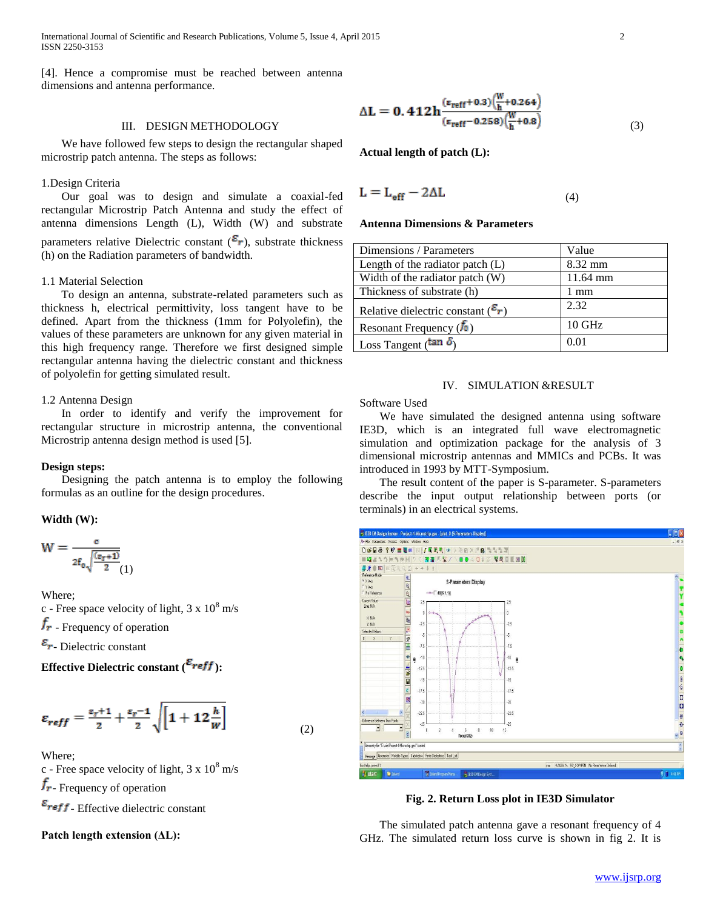International Journal of Scientific and Research Publications, Volume 5, Issue 4, April 2015 2 ISSN 2250-3153

[4]. Hence a compromise must be reached between antenna dimensions and antenna performance.

## III. DESIGN METHODOLOGY

 We have followed few steps to design the rectangular shaped microstrip patch antenna. The steps as follows:

# 1.Design Criteria

 Our goal was to design and simulate a coaxial-fed rectangular Microstrip Patch Antenna and study the effect of antenna dimensions Length (L), Width (W) and substrate parameters relative Dielectric constant  $(\epsilon_r)$ , substrate thickness (h) on the Radiation parameters of bandwidth.

#### 1.1 Material Selection

 To design an antenna, substrate-related parameters such as thickness h, electrical permittivity, loss tangent have to be defined. Apart from the thickness (1mm for Polyolefin), the values of these parameters are unknown for any given material in this high frequency range. Therefore we first designed simple rectangular antenna having the dielectric constant and thickness of polyolefin for getting simulated result.

## 1.2 Antenna Design

 In order to identify and verify the improvement for rectangular structure in microstrip antenna, the conventional Microstrip antenna design method is used [5].

#### **Design steps:**

 Designing the patch antenna is to employ the following formulas as an outline for the design procedures.

#### **Width (W):**

$$
W = \frac{e}{2f_0\sqrt{\frac{(g_r+1)}{2}}(1)}
$$

Where;

c - Free space velocity of light,  $3 \times 10^8$  m/s

 $f_r$  - Frequency of operation

 $\varepsilon_r$ - Dielectric constant

**Effective Dielectric constant (** $\frac{\varepsilon_{reff}}{\varepsilon_{reff}}$ **):** 

$$
\varepsilon_{reff} = \frac{\varepsilon_r + 1}{2} + \frac{\varepsilon_r - 1}{2} \sqrt{\left[1 + 12\frac{h}{w}\right]}
$$

(2)

Where;

c - Free space velocity of light,  $3 \times 10^8$  m/s  $r_{\rm r}$ - Frequency of operation

 $\varepsilon$ <sub>reff</sub> Effective dielectric constant

**Patch length extension (ΔL):**

$$
\Delta L = 0.412 h^{\frac{(\epsilon_{\text{reff}}+0.3)\left(\frac{W}{h}+0.264\right)}{(\epsilon_{\text{reff}}-0.258)\left(\frac{W}{h}+0.8\right)}}_{(3)}
$$

**Actual length of patch (L):**

$$
L = L_{eff} - 2\Delta L \tag{4}
$$

#### **Antenna Dimensions & Parameters**

| Dimensions / Parameters                        | Value    |
|------------------------------------------------|----------|
| Length of the radiator patch $(L)$             | 8.32 mm  |
| Width of the radiator patch (W)                | 11.64 mm |
| Thickness of substrate (h)                     | 1 mm     |
| Relative dielectric constant $(\mathcal{E}_r)$ | 2.32     |
| Resonant Frequency $(\bar{f}_0)$               | $10$ GHz |
| Loss Tangent ( $\tan \delta$ )                 | 0.01     |

# IV. SIMULATION &RESULT

Software Used

 We have simulated the designed antenna using software IE3D, which is an integrated full wave electromagnetic simulation and optimization package for the analysis of 3 dimensional microstrip antennas and MMICs and PCBs. It was introduced in 1993 by MTT-Symposium.

 The result content of the paper is S-parameter. S-parameters describe the input output relationship between ports (or terminals) in an electrical systems.



**Fig. 2. Return Loss plot in IE3D Simulator**

 The simulated patch antenna gave a resonant frequency of 4 GHz. The simulated return loss curve is shown in fig 2. It is